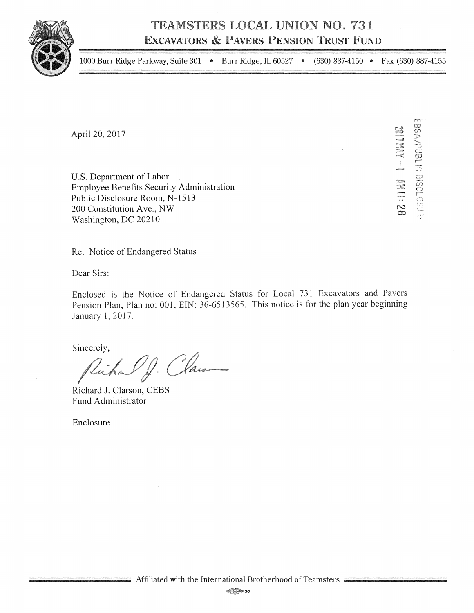**TEAMSTERS LOCAL UNION NO. 731 ExCAVATORS & PAVERS PENSION TRUST FuND** 



1000 Burr Ridge Parkway, Suite 301 • Burr Ridge, IL 60527 • (630) 887-4150 • Fax (630) 887-4155

April 20, 2017

U.S. Department of Labor Employee Benefits Security Administration Public Disclosure Room, N-1513 200 Constitution Ave., NW Washington, DC 20210

<del>~</del> ::<br>=<br>< ~<br>~~~~~<br>~~~~~<br>~~~~~<br>~~~~~ ನು<br>೧ rn· f.'O U)  $\frac{25}{15}$ CJ U'J (~"'l *r--*

Re: Notice of Endangered Status

Dear Sirs:

Enclosed is the Notice of Endangered Status for Local 731 Excavators and Pavers Pension Plan, Plan no: 001, EIN: 36-6513565. This notice is for the plan year beginning January 1, 2017.

Sincerely,

Victor Of. Class

Richard J. Clarson, CEBS Fund Administrator

Enclosure